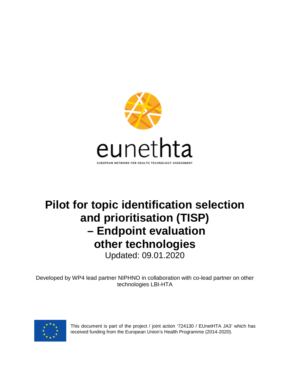

# **Pilot for topic identification selection and prioritisation (TISP) – Endpoint evaluation other technologies** Updated: 09.01.2020

Developed by WP4 lead partner NIPHNO in collaboration with co-lead partner on other technologies LBI-HTA



This document is part of the project / joint action '724130 / EUnetHTA JA3' which has received funding from the European Union's Health Programme (2014-2020).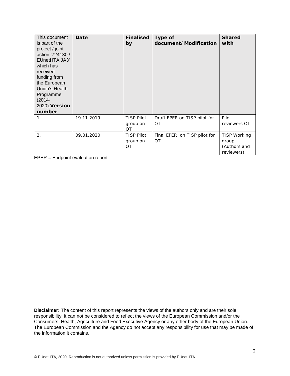| This document<br>is part of the<br>project / joint<br>action '724130 /<br>EUnetHTA JA3'<br>which has<br>received<br>funding from<br>the European<br>Union's Health<br>Programme<br>$(2014 -$<br>2020). Version<br>number | Date       | <b>Finalised</b><br>by                     | Type of<br>document/Modification          | <b>Shared</b><br>with                                      |
|--------------------------------------------------------------------------------------------------------------------------------------------------------------------------------------------------------------------------|------------|--------------------------------------------|-------------------------------------------|------------------------------------------------------------|
| 1.                                                                                                                                                                                                                       | 19.11.2019 | <b>TISP Pilot</b><br>group on<br><b>OT</b> | Draft EPER on TISP pilot for<br>OT        | Pilot<br>reviewers OT                                      |
| 2.                                                                                                                                                                                                                       | 09.01.2020 | <b>TISP Pilot</b><br>group on<br>OT        | Final EPER on TISP pilot for<br><b>OT</b> | <b>TISP Working</b><br>group<br>(Authors and<br>reviewers) |

EPER = Endpoint evaluation report

**Disclaimer:** The content of this report represents the views of the authors only and are their sole responsibility; it can not be considered to reflect the views of the European Commission and/or the Consumers, Health, Agriculture and Food Executive Agency or any other body of the European Union. The European Commission and the Agency do not accept any responsibility for use that may be made of the information it contains.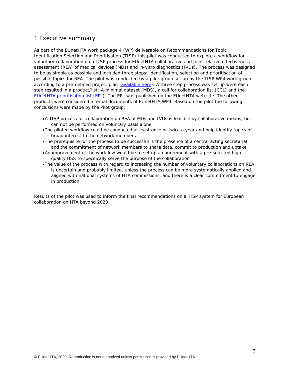# 1 Executive summary

As part of the EUnetHTA work package 4 (WP) deliverable on Recommendations for Topic Identification Selection and Prioritisation (TISP) this pilot was conducted to explore a workflow for voluntary collaboration on a TISP process for EUnetHTA collaborative and joint relative effectiveness assessment (REA) of medical devices (MDs) and in-vitro diagnostics (IVDs). The process was designed to be as simple as possible and included three steps: identification, selection and prioritisation of possible topics for REA. The pilot was conducted by a pilot group set up by the TISP WP4 work group according to a pre-defined project plan [\(available here\)](https://eunethta.eu/services/horizon-scanning/). A three step process was set up were each step resulted in a product/list: A minimal dataset (MDS), a call for collaboration list (CCL) and the [EUnetHTA prioritisation list \(EPL\).](https://eunethta.eu/assessments/eunethta-prioritisation-list-epl-other-technologies/) The EPL was published on the EUnetHTA web site. The other products were considered internal documents of EUnetHTA WP4. Based on the pilot the following conclusions were made by the Pilot group:

- •*A TISP process for collaboration on REA of MDs and IVDs is feasible by collaborative means, but can not be performed on voluntary basis alone*
- •*The piloted workflow could be conducted at least once or twice a year and help identify topics of broad interest to the network members*
- •*The prerequisite for the process to be successful is the presence of a central acting secretariat and the commitment of network members to share data, commit to production and uptake*
- •*An improvement of the workflow would be to set up an agreement with a pre-selected high quality HSS to specifically serve the purpose of the collaboration*
- •*The value of the process with regard to increasing the number of voluntary collaborations on REA is uncertain and probably limited, unless the process can be more systematically applied and aligned with national systems of HTA commissions, and there is a clear commitment to engage in production*

Results of the pilot was used to inform the final recommendations on a TISP system for European collaboration on HTA beyond 2020.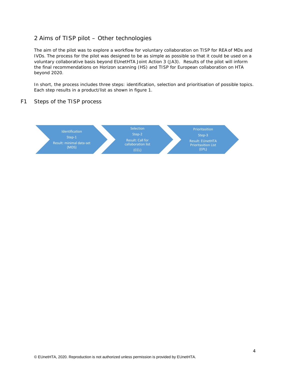# 2 Aims of TISP pilot – Other technologies

The aim of the pilot was to explore a workflow for voluntary collaboration on TISP for REA of MDs and IVDs. The process for the pilot was designed to be as simple as possible so that it could be used on a voluntary collaborative basis beyond EUnetHTA Joint Action 3 (JA3). Results of the pilot will inform the final recommendations on Horizon scanning (HS) and TISP for European collaboration on HTA beyond 2020.

In short, the process includes three steps: identification, selection and prioritisation of possible topics. Each step results in a product/list as shown in figure 1.

## *F1 Steps of the TISP process*

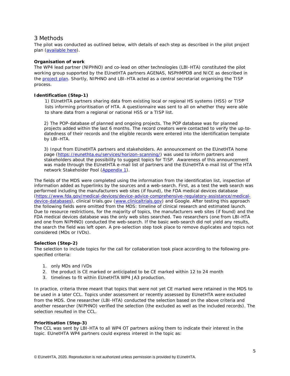## 3 Methods

The pilot was conducted as outlined below, with details of each step as described in the pilot project plan [\(available here\)](https://eunethta.eu/services/horizon-scanning/).

## **Organisation of work**

The WP4 lead partner (NIPHNO) and co-lead on other technologies (LBI-HTA) constituted the pilot working group supported by the EUnetHTA partners AGENAS, NSPHMPDB and NICE as described in the [project plan.](https://eunethta.eu/services/horizon-scanning/) Shortly, NIPHNO and LBI-HTA acted as a central secretariat organising the TISP process.

## **Identification (Step-1)**

1) EUnetHTA partners sharing data from existing local or regional HS systems (HSS) or TISP lists informing prioritisation of HTA. A questionnaire was sent to all on whether they were able to share data from a regional or national HSS or a TISP list.

2) The POP-database of planned and ongoing projects. The POP database was for planned projects added within the last 6 months. The record creators were contacted to verify the up-todatedness of their records and the eligible records were entered into the identification template by LBI-HTA.

3) Input from EUnetHTA partners and stakeholders. An announcement on the EUnetHTA home page [\(https://eunethta.eu/services/horizon-scanning/\)](https://eunethta.eu/services/horizon-scanning/) was used to inform partners and stakeholders about the possibility to suggest topics for TISP. Awareness of this announcement was made through the EUnetHTA e-mail list of partners and the EUnetHTA e-mail list of The HTA network Stakeholder Pool [\(Appendix 1\)](#page-16-0).

The fields of the MDS were completed using the information from the identification list, inspection of information added as hyperlinks by the sources and a web-search. First, as a test the web search was performed including the manufacturers web sites (if found), the FDA medical devices database [\(https://www.fda.gov/medical-devices/device-advice-comprehensive-regulatory-assistance/medical](https://www.fda.gov/medical-devices/device-advice-comprehensive-regulatory-assistance/medical-device-databases)[device-databases\)](https://www.fda.gov/medical-devices/device-advice-comprehensive-regulatory-assistance/medical-device-databases), clinical trials.gov [\(www.clinicaltrials.gov\)](http://www.clinicaltrials.gov/) and Google. After testing this approach the following fields were omitted from the MDS: timeline of clinical research and estimated launch. Due to resource restrictions, for the majority of topics, the manufacturers web sites (if found) and the FDA medical devices database was the only web sites searched. Two researchers (one from LBI-HTA and one from NIPHNO) conducted the web-search. If the basic web-search did not yield any results, the search the field was left open. A pre-selection step took place to remove duplicates and topics not considered (MDs or IVDs).

#### **Selection (Step-2)**

The selection to include topics for the call for collaboration took place according to the following prespecified criteria:

- *1. only MDs and IVDs*
- *2. the product is CE marked or anticipated to be CE marked within 12 to 24 month*
- *3. timelines to fit within EUnetHTA WP4 JA3 production.*

In practice, criteria three meant that topics that were not yet CE marked were retained in the MDS to be used in a later CCL. Topics under assessment or recently assessed by EUnetHTA were excluded from the MDS. One researcher (LBI-HTA) conducted the selection based on the above criteria and another researcher (NIPHNO) verified the selection (the excluded as well as the included records). The selection resulted in the CCL.

#### **Prioritisation (Step-3)**

The CCL was sent by LBI-HTA to all WP4 OT partners asking them to indicate their interest in the topic. EUnetHTA WP4 partners could express interest in the topic as: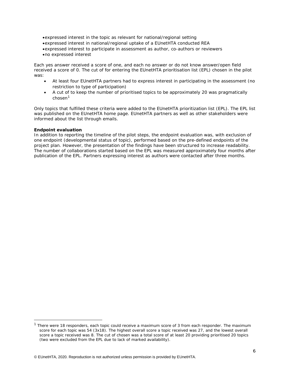- •*expressed interest in the topic as relevant for national/regional setting*
- •*expressed interest in national/regional uptake of a EUnetHTA conducted REA*
- •*expressed interest to participate in assessment as author, co-authors or reviewers*
- •*no expressed interest*

Each yes answer received a score of one, and each no answer or do not know answer/open field received a score of 0. The cut of for entering the EUnetHTA prioritisation list (EPL) chosen in the pilot was:

- *At least four EUnetHTA partners had to express interest in participating in the assessment (no restriction to type of participation)*
- *A cut of to keep the number of prioritised topics to be approximately 20 was pragmatically chosen[1](#page-5-0)*

Only topics that fulfilled these criteria were added to the EUnetHTA prioritization list (EPL). The EPL list was published on the EUnetHTA home page. EUnetHTA partners as well as other stakeholders were informed about the list through emails.

## **Endpoint evaluation**

In addition to reporting the timeline of the pilot steps, the endpoint evaluation was, with exclusion of one endpoint (developmental status of topic), performed based on the pre-defined endpoints of the project plan. However, the presentation of the findings have been structured to increase readability. The number of collaborations started based on the EPL was measured approximately four months after publication of the EPL. Partners expressing interest as authors were contacted after three months.

<span id="page-5-0"></span> $<sup>1</sup>$  There were 18 responders, each topic could receive a maximum score of 3 from each responder. The maximum</sup> score for each topic was 54 (3x18). The highest overall score a topic received was 27, and the lowest overall score a topic received was 8. The cut of chosen was a total score of at least 20 providing prioritised 20 topics (two were excluded from the EPL due to lack of marked availability).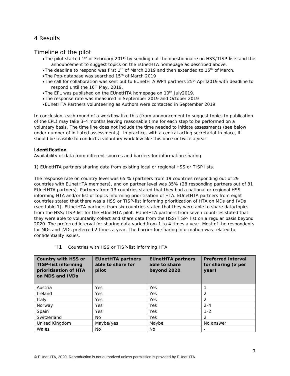# 4 Results

## Timeline of the pilot

- •*The pilot started 1th of February 2019 by sending out the questionnaire on HSS/TISP-lists and the announcement to suggest topics on the EUnetHTA homepage as described above.*
- •*The deadline to respond was first 1th of March 2019 and then extended to 15th of March.*
- •*The Pop-database was searched 15th of March 2019*
- •*The call for collaboration was sent out to EUnetHTA WP4 partners 25th April2019 with deadline to respond until the 16th May, 2019.*
- •*The EPL was published on the EUnetHTA homepage on 10th July2019.*
- •*The response rate was measured in September 2019 and October 2019*
- •*EUnetHTA Partners volunteering as Authors were contacted in September 2019*

In conclusion, each round of a workflow like this (from announcement to suggest topics to publication of the EPL) may take 3-4 months leaving reasonable time for each step to be performed on a voluntary basis. The time line does not include the time needed to initiate assessments (see below under number of initiated assessments) In practice, with a central acting secretariat in place, it should be feasible to conduct a voluntary workflow like this once or twice a year.

## **Identification**

*Availability of data from different sources and barriers for information sharing*

1) EUnetHTA partners sharing data from existing local or regional HSS or TISP lists.

The response rate on country level was 65 % (partners from 19 countries responding out of 29 countries with EUnetHTA members), and on partner level was 35% (28 responding partners out of 81 EUnetHTA partners). Partners from 13 countries stated that they had a national or regional HSS informing HTA and/or list of topics informing prioritisation of HTA. EUnetHTA partners from eight countries stated that there was a HSS or TISP-list informing prioritization of HTA on MDs and IVDs (see table 1). EUnetHTA partners from six countries stated that they were able to share data/topics from the HSS/TISP-list for the EUnetHTA pilot. EUnetHTA partners from seven countries stated that they were able to voluntarily collect and share data from the HSS/TISP- list on a regular basis beyond 2020. The preferred interval for sharing data varied from 1 to 4 times a year. Most of the respondents for MDs and IVDs preferred 2 times a year. The barrier for sharing information was related to confidentiality issues.

| <b>Country with HSS or</b><br>TISP-list informing<br>prioritisation of HTA<br>on MDS and IVDs | <b>EUnetHTA partners</b><br>able to share for<br>pilot | <b>EUnetHTA partners</b><br>able to share<br>beyond 2020 | <b>Preferred interval</b><br>for sharing (x per<br>year) |
|-----------------------------------------------------------------------------------------------|--------------------------------------------------------|----------------------------------------------------------|----------------------------------------------------------|
| Austria                                                                                       | Yes                                                    | Yes                                                      |                                                          |
| Ireland                                                                                       | Yes                                                    | Yes                                                      |                                                          |
| Italy                                                                                         | Yes                                                    | Yes                                                      |                                                          |
| Norway                                                                                        | Yes                                                    | Yes                                                      | $2 - 4$                                                  |
| Spain                                                                                         | Yes                                                    | Yes                                                      | $1 - 2$                                                  |
| Switzerland                                                                                   | No.                                                    | Yes                                                      | 2                                                        |
| United Kingdom                                                                                | Maybe/yes                                              | Maybe                                                    | No answer                                                |
| Wales                                                                                         | No.                                                    | No                                                       |                                                          |

## T1 *Countries with HSS or TISP-list informing HTA*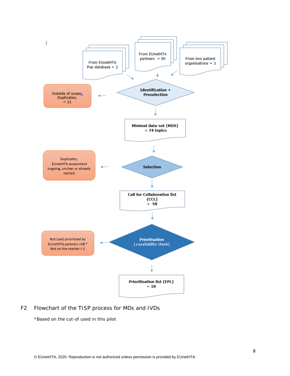

## *F2 Flowchart of the TISP process for MDs and IVDs*

\*Based on the cut-of used in this pilot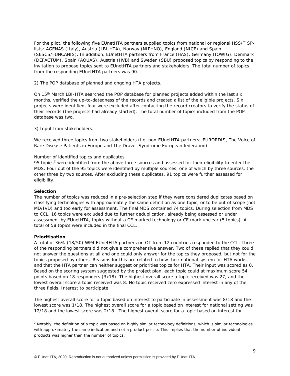For the pilot, the following five EUnetHTA partners supplied topics from national or regional HSS/TISPlists: AGENAS (Italy), Austria (LBI-HTA), Norway (NIPHNO), England (NICE) and Spain (SESCS/FUNCANIS). In addition, EUnetHTA partners from France (HAS), Germany (IQWIG), Denmark (DEFACTUM), Spain (AQUAS), Austria (HVB) and Sweden (SBU) proposed topics by responding to the invitation to propose topics sent to EUnetHTA partners and stakeholders. The total number of topics from the responding EUnetHTA partners was 90.

2) The POP database of planned and ongoing HTA projects.

On 15th March LBI-HTA searched the POP database for planned projects added within the last six months, verified the up-to-datedness of the records and created a list of the eligible projects. Six projects were identified, four were excluded after contacting the record creators to verify the status of their records (the projects had already started). The total number of topics included from the POP database was two.

3) Input from stakeholders.

We received three topics from two stakeholders (i.e. non-EUnetHTA partners: EURORDIS, The Voice of Rare Disease Patients in Europe and The Dravet Syndrome European federation)

#### *Number of identified topics and duplicates*

95 topics<sup>[2](#page-8-0)</sup> were identified from the above three sources and assessed for their eligibility to enter the MDS. Four out of the 95 topics were identified by multiple sources, one of which by three sources, the other three by two sources. After excluding these duplicates, 91 topics were further assessed for eligibility.

#### **Selection**

The number of topics was reduced in a pre-selection step if they were considered duplicates based on classifying technologies with approximately the same definition as one topic, or to be out of scope (not MD/IVD) and too early for assessment. The final MDS contained 74 topics. During selection from MDS to CCL, 16 topics were excluded due to further deduplication, already being assessed or under assessment by EUnetHTA, topics without a CE marked technology or CE mark unclear (5 topics). A total of 58 topics were included in the final CCL.

#### **Prioritisation**

ł

A total of 36% (18/50) WP4 EUnetHTA partners on OT from 12 countries responded to the CCL. Three of the responding partners did not give a comprehensive answer. Two of these replied that they could not answer the questions at all and one could only answer for the topics they proposed, but not for the topics proposed by others. Reasons for this are related to how their national system for HTA works, and that the HTA partner can neither suggest or priorities topics for HTA. Their input was scored as 0. Based on the scoring system suggested by the project plan, each topic could at maximum score 54 points based on 18 responders (3x18). The highest overall score a topic received was 27, and the lowest overall score a topic received was 8. No topic received zero expressed interest in any of the three fields. Interest to participate

The highest overall score for a topic based on interest to participate in assessment was 8/18 and the lowest score was 1/18. The highest overall score for a topic based on interest for national setting was 12/18 and the lowest score was 2/18. The highest overall score for a topic based on interest for

<span id="page-8-0"></span> $2$  Notably, the definition of a topic was based on highly similar technology definitions, which is similar technologies with approximately the same indication and not a product per se. This implies that the number of individual products was higher than the number of topics.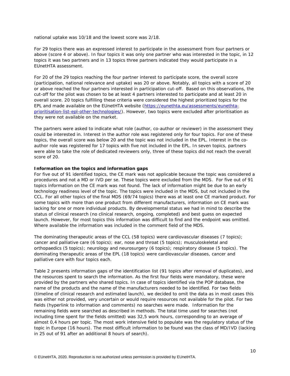national uptake was 10/18 and the lowest score was 2/18.

For 29 topics there was an expressed interest to participate in the assessment from four partners or above (score 4 or above). In four topics it was only one partner who was interested in the topic, in 12 topics it was two partners and in 13 topics three partners indicated they would participate in a EUnetHTA assessment.

For 20 of the 29 topics reaching the four partner interest to participate score, the overall score (participation, national relevance and uptake) was 20 or above. Notably, all topics with a score of 20 or above reached the four partners interested in participation cut-off. Based on this observations, the cut-off for the pilot was chosen to be at least 4 partners interested to participate and at least 20 in overall score. 20 topics fulfilling these criteria were considered the highest prioritized topics for the EPL and made available on the EUnetHTA website [\(https://eunethta.eu/assessments/eunethta](https://eunethta.eu/assessments/eunethta-prioritisation-list-epl-other-technologies/)[prioritisation-list-epl-other-technologies/\)](https://eunethta.eu/assessments/eunethta-prioritisation-list-epl-other-technologies/). However, two topics were excluded after prioritisation as they were not available on the market.

The partners were asked to indicate what role (author, co-author or reviewer) in the assessment they could be interested in. Interest in the author role was registered only for four topics. For one of these topics, the overall score was below 20 and the topic was not included in the EPL. Interest in the coauthor role was registered for 17 topics with five not included in the EPL. In seven topics, partners were able to take the role of dedicated reviewers only, three of these topics did not reach the overall score of 20.

#### **Information on the topics and information gaps**

For five out of 91 identified topics, the CE mark was not applicable because the topic was considered a procedures and not a MD or IVD per se. These topics were excluded from the MDS. For five out of 91 topics information on the CE mark was not found. The lack of information might be due to an early technology readiness level of the topic. The topics were included in the MDS, but not included in the CCL. For all other topics of the final MDS (69/74 topics) there was at least one CE marked product. For some topics with more than one product from different manufacturers, information on CE mark was lacking for one or more individual products. By developmental status we had in mind to describe the status of clinical research (no clinical research, ongoing, completed) and best guess on expected launch. However, for most topics this information was difficult to find and the endpoint was omitted. Where available the information was included in the comment field of the MDS.

The dominating therapeutic areas of the CCL (58 topics) were cardiovascular diseases (7 topics); cancer and palliative care (6 topics); ear, nose and throat (5 topics); musculoskeletal and orthopaedics (5 topics); neurology and neurosurgery (6 topics); respiratory disease (5 topics). The dominating therapeutic areas of the EPL (18 topics) were cardiovascular diseases, cancer and palliative care with four topics each.

Table 2 presents information gaps of the identification list (91 topics after removal of duplicates), and the resources spent to search the information. As the first four fields were mandatory, these were provided by the partners who shared topics. In case of topics identified via the POP database, the name of the products and the name of the manufacturers needed to be identified. For two fields (timeline of clinical research and estimated launch), we decided to omit the data as in most cases this was either not provided, very uncertain or would require resources not available for the pilot. For two fields (hyperlink to information and comments) no searches were made. Information for the remaining fields were searched as described in methods. The total time used for searches (not including time spent for the fields omitted) was 32,5 work hours, corresponding to an average of almost 0,4 hours per topic. The most work intensive field to populate was the regulatory status of the topic in Europe (16 hours). The most difficult information to be found was the class of MD/IVD (lacking in 25 out of 91 after an additional 8 hours of search).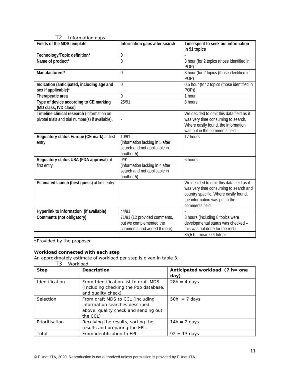| $\sim$<br><i><u>HIDHHAHOH YAPS</u></i>                                                          |                                                                                        |                                                                                                                                                                                 |
|-------------------------------------------------------------------------------------------------|----------------------------------------------------------------------------------------|---------------------------------------------------------------------------------------------------------------------------------------------------------------------------------|
| Fields of the MDS template                                                                      | Information gaps after search                                                          | Time spent to seek out information<br>in 91 topics                                                                                                                              |
| Technology/Topic definition*                                                                    | 0                                                                                      |                                                                                                                                                                                 |
| Name of product*                                                                                | $\theta$                                                                               | 3 hour (for 2 topics (those identified in<br>POP)                                                                                                                               |
| Manufacturers*                                                                                  | $\overline{0}$                                                                         | 3 hour (for 2 topics (those identified in<br>POP)                                                                                                                               |
| Indication (anticipated, including age and<br>sex if applicable)*                               | $\Omega$                                                                               | 0.5 hour (for 2 topics (those identified in<br>POP))                                                                                                                            |
| Therapeutic area                                                                                | $\Omega$                                                                               | 1 hour                                                                                                                                                                          |
| Type of device according to CE marking<br>(MD class, IVD class)                                 | 25/91                                                                                  | 8 hours                                                                                                                                                                         |
| Timeline clinical research (Information on<br>pivotal trials and trial number(s) if available). | ÷,                                                                                     | We decided to omit this data field as it<br>was very time consuming to search.<br>Where easily found, the information<br>was put in the comments field.                         |
| Regulatory status Europe (CE mark) at first<br>entry                                            | 10/91<br>(information lacking in 5 after<br>search and not applicable in<br>another 5) | 17 hours                                                                                                                                                                        |
| Regulatory status USA (FDA approval) at<br>first entry                                          | 9/91<br>(information lacking in 4 after<br>search and not applicable in<br>another 5)  | 6 hours                                                                                                                                                                         |
| Estimated launch (best guess) at first entry                                                    |                                                                                        | We decided to omit this data field as it<br>was very time consuming to search and<br>country specific. Where easily found,<br>the information was put in the<br>comments field. |
| Hyperlink to information (if available)                                                         | 44/91                                                                                  |                                                                                                                                                                                 |
| Comments (not obligatory)                                                                       | 71/91 (12 provided comments,<br>but we complemented the<br>comments and added 8 more). | 3 hours (including 8 topics were<br>developmental status was checked -<br>this was not done for the rest)                                                                       |
|                                                                                                 |                                                                                        | $35,5$ h= mean 0.4 h/topic                                                                                                                                                      |

T2 *Information gaps*

\*Provided by the proposer

## **Workload connected with each step**

An approximately estimate of workload per step is given in table 3.

| T3<br>Workload |                                                                                                                        |                                           |  |  |
|----------------|------------------------------------------------------------------------------------------------------------------------|-------------------------------------------|--|--|
| <b>Step</b>    | <b>Description</b>                                                                                                     | Anticipated workload $(7 h =$ one<br>day) |  |  |
| Identification | From Identification list to draft MDS<br>(Including checking the Pop database,<br>and quality check)                   | $28h = 4$ days                            |  |  |
| Selection      | From draft MDS to CCL (including<br>information searches described<br>above, quality check and sending out<br>the CCL) | $50h = 7$ days                            |  |  |
| Prioritisation | Receiving the results, sorting the<br>results and preparing the EPL.                                                   | $14h = 2$ days                            |  |  |
| Total          | From identification to EPL                                                                                             | $92 = 13$ days                            |  |  |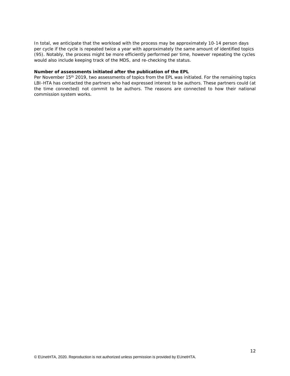In total, we anticipate that the workload with the process may be approximately 10-14 person days per cycle if the cycle is repeated twice a year with approximately the same amount of identified topics (95). Notably, the process might be more efficiently performed per time, however repeating the cycles would also include keeping track of the MDS, and re-checking the status.

#### **Number of assessments initiated after the publication of the EPL**

Per November 15<sup>th</sup> 2019, two assessments of topics from the EPL was initiated. For the remaining topics LBI-HTA has contacted the partners who had expressed interest to be authors. These partners could (at the time connected) not commit to be authors. The reasons are connected to how their national commission system works.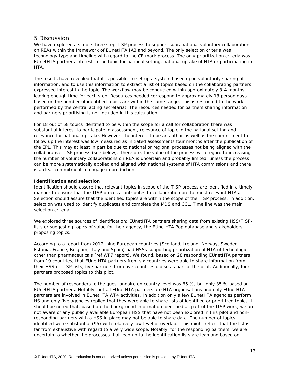## 5 Discussion

We have explored a simple three step TISP process to support supranational voluntary collaboration on REAs within the framework of EUnetHTA JA3 and beyond. The only selection criteria was technology type and timeline with regard to the CE mark process. The only prioritization criteria was EUnetHTA partners interest in the topic for national setting, national uptake of HTA or participating in HTA.

The results have revealed that it is possible, to set up a system based upon voluntarily sharing of information, and to use this information to extract a list of topics based on the collaborating partners expressed interest in the topic. The workflow may be conducted within approximately 3-4 months leaving enough time for each step. Resources needed correspond to approximately 13 person days based on the number of identified topics are within the same range. This is restricted to the work performed by the central acting secretariat. The resources needed for partners sharing information and partners prioritising is not included in this calculation.

For 18 out of 58 topics identified to be within the scope for a call for collaboration there was substantial interest to participate in assessment, relevance of topic in the national setting and relevance for national up-take. However, the interest to be an author as well as the commitment to follow up the interest was low measured as initiated assessments four months after the publication of the EPL. This may at least in part be due to national or regional processes not being aligned with the collaborative TISP process (see below). Therefore, the value of the process with regard to increasing the number of voluntary collaborations on REA is uncertain and probably limited, unless the process can be more systematically applied and aligned with national systems of HTA commissions and there is a clear commitment to engage in production.

## **Identification and selection**

Identification should assure that relevant topics in scope of the TISP process are identified in a timely manner to ensure that the TISP process contributes to collaboration on the most relevant HTAs. Selection should assure that the identified topics are within the scope of the TISP process. In addition, selection was used to identify duplicates and complete the MDS and CCL. Time line was the main selection criteria.

We explored three sources of identification: EUnetHTA partners sharing data from existing HSS/TISPlists or suggesting topics of value for their agency, the EUnetHTA Pop database and stakeholders proposing topics.

According to a report from 2017, nine European countries (Scotland, Ireland, Norway, Sweden, Estonia, France, Belgium, Italy and Spain) had HSSs supporting prioritization of HTA of technologies other than pharmaceuticals (ref WP7 report). We found, based on 28 responding EUnetHTA partners from 19 countries, that EUnetHTA partners from six countries were able to share information from their HSS or TISP-lists, five partners from five countries did so as part of the pilot. Additionally, four partners proposed topics to this pilot.

The number of responders to the questionnaire on country level was 65 %, but only 35 % based on EUnetHTA partners. Notably, not all EUnetHTA partners are HTA organisations and only EUnetHTA partners are involved in EUnetHTA WP4 activities. In addition only a few EUnetHTA agencies perform HS and only five agencies replied that they were able to share lists of identified or prioritized topics. It should be noted that, based on the background information identified as part of the TISP work, we are not aware of any publicly available European HSS that have not been explored in this pilot and nonresponding partners with a HSS in place may not be able to share data. The number of topics identified were substantial (95) with relatively low level of overlap. This might reflect that the list is far from exhaustive with regard to a very wide scope. Notably, for the responding partners, we are uncertain to whether the processes that lead up to the identification lists are lean and based on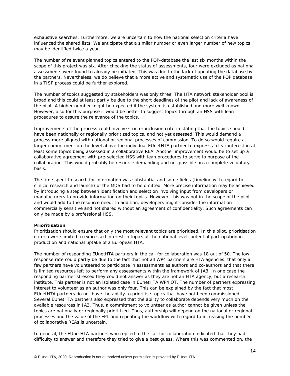exhaustive searches. Furthermore, we are uncertain to how the national selection criteria have influenced the shared lists. We anticipate that a similar number or even larger number of new topics may be identified twice a year.

The number of relevant planned topics entered to the POP-database the last six months within the scope of this project was six. After checking the status of assessments, four were excluded as national assessments were found to already be initiated. This was due to the lack of updating the database by the partners. Nevertheless, we do believe that a more active and systematic use of the POP database in a TISP process could be further explored.

The number of topics suggested by stakeholders was only three. The HTA network stakeholder pool is broad and this could at least partly be due to the short deadlines of the pilot and lack of awareness of the pilot. A higher number might be expected if the system is established and more well known. However, also for this purpose it would be better to suggest topics through an HSS with lean procedures to assure the relevance of the topics.

Improvements of the process could involve stricter inclusion criteria stating that the topics should have been nationally or regionally prioritized topics, and not yet assessed. This would demand a process more aligned with national or regional processes of commission. To do so would require a larger commitment on the level above the individual EUnetHTA partner to express a clear interest in at least some topics being assessed in a collaborative REA. Another improvement would be to set up a collaborative agreement with pre-selected HSS with lean procedures to serve to purpose of the collaboration. This would probably be resource demanding and not possible on a complete voluntary basis.

The time spent to search for information was substantial and some fields (timeline with regard to clinical research and launch) of the MDS had to be omitted. More precise information may be achieved by introducing a step between identification and selection involving input from developers or manufacturers to provide information on their topics. However, this was not in the scope of the pilot and would add to the resource need. In addition, developers might consider the information commercially sensitive and not shared without an agreement of confidentiality. Such agreements can only be made by a professional HSS.

## **Prioritisation**

Prioritisation should ensure that only the most relevant topics are prioritised. In this pilot, prioritisation criteria were limited to expressed interest in topics at the national level, potential participation in production and national uptake of a European HTA.

The number of responding EUnetHTA partners in the call for collaboration was 18 out of 50. The low response rate could partly be due to the fact that not all WP4 partners are HTA agencies, that only a few partners have volunteered to participate in assessments as authors and co-authors and that there is limited resources left to perform any assessments within the framework of JA3. In one case the responding partner stressed they could not answer as they are not an HTA agency, but a research institute. This partner is not an isolated case in EUnetHTA WP4 OT. The number of partners expressing interest to volunteer as an author was only four. This can be explained by the fact that most EUnetHTA partners do not have the ability to prioritise topics that have not been commissioned. Several EUnetHTA partners also expressed that the ability to collaborate depends very much on the available resources in JA3. Thus, a commitment to volunteer as author cannot be given unless the topics are nationally or regionally prioritized. Thus, authorship will depend on the national or regional processes and the value of the EPL and repeating the workflow with regard to increasing the number of collaborative REAs is uncertain.

In general, the EUnetHTA partners who replied to the call for collaboration indicated that they had difficulty to answer and therefore they tried to give a best guess. Where this was commented on, the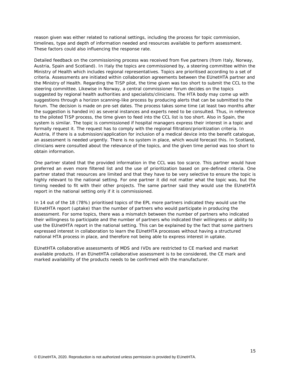reason given was either related to national settings, including the process for topic commission, timelines, type and depth of information needed and resources available to perform assessment. These factors could also influencing the response rate.

Detailed feedback on the commissioning process was received from five partners (from Italy, Norway, Austria, Spain and Scotland). In Italy the topics are commissioned by, a steering committee within the Ministry of Health which includes regional representatives. Topics are prioritised according to a set of criteria. Assessments are initiated within collaboration agreements between the EUnetHTA partner and the Ministry of Health. Regarding the TISP pilot, the time given was too short to submit the CCL to the steering committee. Likewise in Norway, a central commissioner forum decides on the topics suggested by regional health authorities and specialists/clinicians. The HTA body may come up with suggestions through a horizon scanning-like process by producing alerts that can be submitted to the forum. The decision is made on pre-set dates. The process takes some time (at least two months after the suggestion is handed in) as several instances and experts need to be consulted. Thus, in reference to the piloted TISP process, the time given to feed into the CCL list is too short. Also in Spain, the system is similar. The topic is commissioned if hospital managers express their interest in a topic and formally request it. The request has to comply with the regional filtration/prioritization criteria. In Austria, if there is a submission/application for inclusion of a medical device into the benefit catalogue, an assessment is needed urgently. There is no system in place, which would forecast this. In Scotland, clinicians were consulted about the relevance of the topics, and the given time period was too short to obtain information.

One partner stated that the provided information in the CCL was too scarce. This partner would have preferred an even more filtered list and the use of prioritization based on pre-defined criteria. One partner stated that resources are limited and that they have to be very selective to ensure the topic is highly relevant to the national setting. For one partner it did not matter what the topic was, but the timing needed to fit with their other projects. The same partner said they would use the EUnetHTA report in the national setting only if it is commissioned.

In 14 out of the 18 (78%) prioritised topics of the EPL more partners indicated they would use the EUnetHTA report (uptake) than the number of partners who would participate in producing the assessment. For some topics, there was a mismatch between the number of partners who indicated their willingness to participate and the number of partners who indicated their willingness or ability to use the EUnetHTA report in the national setting. This can be explained by the fact that some partners expressed interest in collaboration to learn the EUnetHTA processes without having a structured national HTA process in place, and therefore not being able to express interest in uptake.

EUnetHTA collaborative assessments of MDS and IVDs are restricted to CE marked and market available products. If an EUnetHTA collaborative assessment is to be considered, the CE mark and marked availability of the products needs to be confirmed with the manufacturer.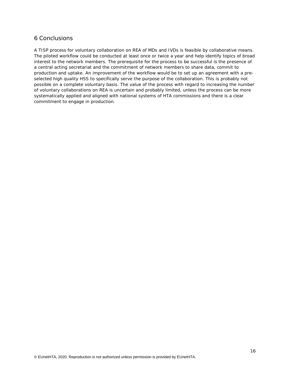# 6 Conclusions

A TISP process for voluntary collaboration on REA of MDs and IVDs is feasible by collaborative means. The piloted workflow could be conducted at least once or twice a year and help identify topics of broad interest to the network members. The prerequisite for the process to be successful is the presence of a central acting secretariat and the commitment of network members to share data, commit to production and uptake. An improvement of the workflow would be to set up an agreement with a preselected high quality HSS to specifically serve the purpose of the collaboration. This is probably not possible on a complete voluntary basis. The value of the process with regard to increasing the number of voluntary collaborations on REA is uncertain and probably limited, unless the process can be more systematically applied and aligned with national systems of HTA commissions and there is a clear commitment to engage in production.